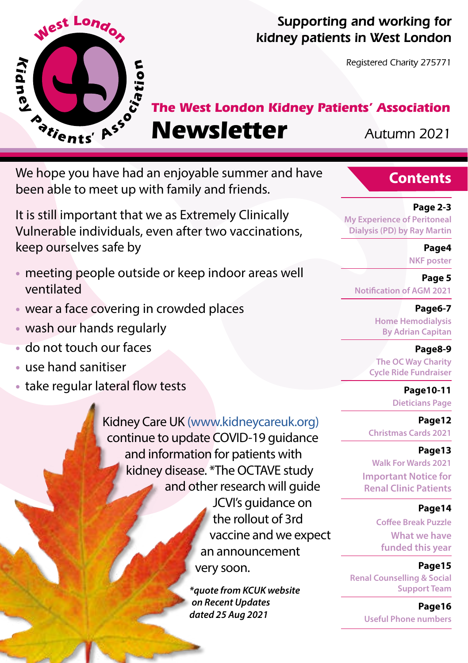

#### Supporting and working for kidney patients in West London

Registered Charity 275771

# **The West London Kidney Patients' Association**

# **Newsletter** Autumn 2021

We hope you have had an enjoyable summer and have been able to meet up with family and friends.

It is still important that we as Extremely Clinically Vulnerable individuals, even after two vaccinations, keep ourselves safe by

- **•** meeting people outside or keep indoor areas well ventilated
- **•** wear a face covering in crowded places
- **•** wash our hands regularly
- **•** do not touch our faces
- **•** use hand sanitiser
- **•** take regular lateral flow tests

Kidney Care UK (www.kidneycareuk.org) continue to update COVID-19 guidance and information for patients with kidney disease. \*The OCTAVE study and other research will guide JCVI's quidance on the rollout of 3rd vaccine and we expect an announcement very soon.

> *\*quote from KCUK website on Recent Updates dated 25 Aug 2021*

#### **Contents**

#### **Page 2-3**

**My Experience of Peritoneal Dialysis (PD) by Ray Martin**

**Page4**

**NKF poster** 

**Page 5 Notification of AGM 2021** 

> **Page6-7 Home Hemodialysis By Adrian Capitan**

 **Page8-9 The OC Way Charity Cycle Ride Fundraiser**

> **Page10-11 Dieticians Page**

**Page12 Christmas Cards 2021**

#### **Page13**

**Walk For Wards 2021 Important Notice for Renal Clinic Patients**

#### **Page14**

**Coffee Break Puzzle What we have funded this year**

**Page15**

**Renal Counselling & Social Support Team**

> **Page16 Useful Phone numbers**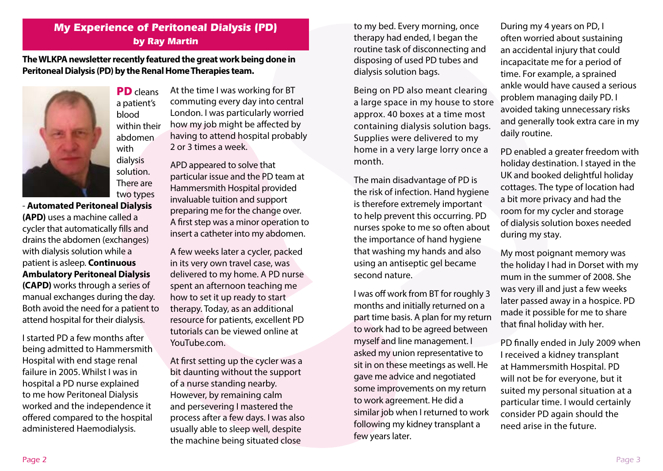## **My Experience of Peritoneal Dialysis (PD) by Ray Martin**

**The WLKPA newsletter recently featured the great work being done in Peritoneal Dialysis (PD) by the Renal Home Therapies team.** 



PD cleans a patient's blood within their abdomen with dialysis solution. There are two types

- **Automated Peritoneal Dialysis (APD)** uses a machine called a cycler that automatically fills and drains the abdomen (exchanges) with dialysis solution while a patient is asleep. **Continuous Ambulatory Peritoneal Dialysis (CAPD)** works through a series of manual exchanges during the day. Both avoid the need for a patient to attend hospital for their dialysis.

I started PD a few months after being admitted to Hammersmith Hospital with end stage renal failure in 2005. Whilst I was in hospital a PD nurse explained to me how Peritoneal Dialysis worked and the independence it offered compared to the hospital administered Haemodialysis.

At the time I was working for BT commuting every day into central London. I was particularly worried how my job might be affected by having to attend hospital probably 2 or 3 times a week.

APD appeared to solve that particular issue and the PD team at Hammersmith Hospital provided invaluable tuition and support preparing me for the change over. A first step was a minor operation to insert a catheter into my abdomen.

A few weeks later a cycler, packed in its very own travel case, was delivered to my home. A PD nurse spent an afternoon teaching me how to set it up ready to start therapy. Today, as an additional resource for patients, excellent PD tutorials can be viewed online at YouTube.com.

At first setting up the cycler was a bit daunting without the support of a nurse standing nearby. However, by remaining calm and persevering I mastered the process after a few days. I was also usually able to sleep well, despite the machine being situated close

to my bed. Every morning, once therapy had ended, I began the routine task of disconnecting and disposing of used PD tubes and dialysis solution bags.

Being on PD also meant clearing a large space in my house to store approx. 40 boxes at a time most containing dialysis solution bags. Supplies were delivered to my home in a very large lorry once a month.

The main disadvantage of PD is the risk of infection. Hand hygiene is therefore extremely important to help prevent this occurring. PD nurses spoke to me so often about the importance of hand hygiene that washing my hands and also using an antiseptic gel became second nature.

I was off work from BT for roughly 3 months and initially returned on a part time basis. A plan for my return to work had to be agreed between myself and line management. I asked my union representative to sit in on these meetings as well. He gave me advice and negotiated some improvements on my return to work agreement. He did a similar job when I returned to work following my kidney transplant a few years later.

During my 4 years on PD, I often worried about sustaining an accidental injury that could incapacitate me for a period of time. For example, a sprained ankle would have caused a serious problem managing daily PD. I avoided taking unnecessary risks and generally took extra care in my daily routine.

PD enabled a greater freedom with holiday destination. I stayed in the UK and booked delightful holiday cottages. The type of location had a bit more privacy and had the room for my cycler and storage of dialysis solution boxes needed during my stay.

My most poignant memory was the holiday I had in Dorset with my mum in the summer of 2008. She was very ill and just a few weeks later passed away in a hospice. PD made it possible for me to share that final holiday with her.

PD finally ended in July 2009 when I received a kidney transplant at Hammersmith Hospital. PD will not be for everyone, but it suited my personal situation at a particular time. I would certainly consider PD again should the need arise in the future.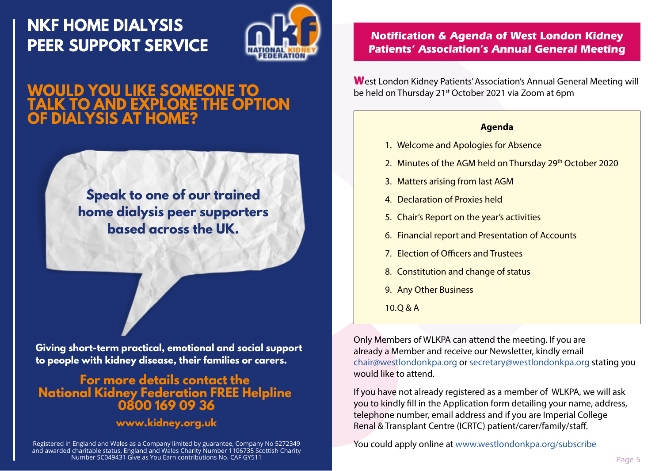# **NKF HOME DIALYSIS**



# **WOULD YOU LIKE SOMEONE TO TALK TO AND EXPLORE THE OPTION OF DIALYSIS AT HOME?**

**Speak to one of our trained home dialysis peer supporters based across the UK.**

**Giving short-term practical, emotional and social support to people with kidney disease, their families or carers.**

# **For more details contact the National Kidney Federation FREE Helpline 0800 169 09 36**

#### **www.kidney.org.uk**

Registered in England and Wales as a Company limited by guarantee, Company No 5272349 and awarded charitable status, England and Wales Charity Number 1106735 Scottish Charity Number SC049431 Give as You Earn contributions No. CAF GY511

# **PEER SUPPORT SERVICE THE CONSTRUCT OF A PARTICLE PROPERIT SERVICE Annual General Meeting**

West London Kidney Patients' Association's Annual General Meeting will be held on Thursday 21<sup>st</sup> October 2021 via Zoom at 6pm

#### **Agenda**

- 1. Welcome and Apologies for Absence
- 2. Minutes of the AGM held on Thursday 29th October 2020
- 3. Matters arising from last AGM
- 4. Declaration of Proxies held
- 5. Chair's Report on the year's activities
- 6. Financial report and Presentation of Accounts
- 7. Election of Officers and Trustees
- 8. Constitution and change of status
- 9. Any Other Business
- 10.Q & A

Only Members of WLKPA can attend the meeting. If you are already a Member and receive our Newsletter, kindly email chair@westlondonkpa.org or secretary@westlondonkpa.org stating you would like to attend.

If you have not already registered as a member of WLKPA, we will ask you to kindly fill in the Application form detailing your name, address, telephone number, email address and if you are Imperial College Renal & Transplant Centre (ICRTC) patient/carer/family/staff.

You could apply online at www.westlondonkpa.org/subscribe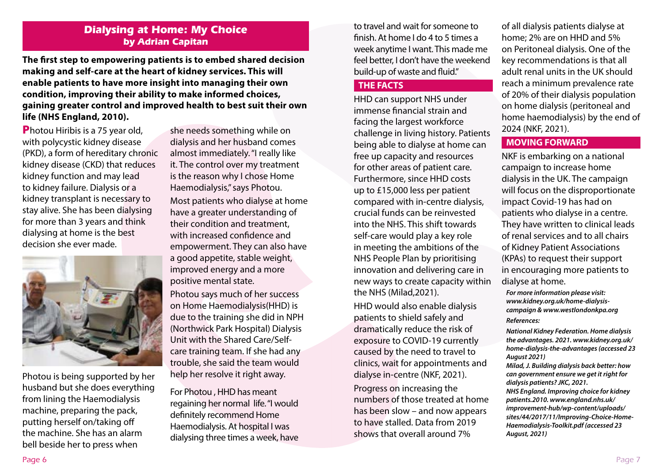#### **Dialysing at Home: My Choice by Adrian Capitan**

**The first step to empowering patients is to embed shared decision making and self-care at the heart of kidney services. This will enable patients to have more insight into managing their own condition, improving their ability to make informed choices, gaining greater control and improved health to best suit their own life (NHS England, 2010).**

**Photou Hiribis is a 75 year old.** with polycystic kidney disease (PKD), a form of hereditary chronic kidney disease (CKD) that reduces kidney function and may lead to kidney failure. Dialysis or a kidney transplant is necessary to stay alive. She has been dialysing for more than 3 years and think dialysing at home is the best decision she ever made.



Photou is being supported by her husband but she does everything from lining the Haemodialysis machine, preparing the pack, putting herself on/taking off the machine. She has an alarm bell beside her to press when

she needs something while on dialysis and her husband comes almost immediately. "I really like it. The control over my treatment is the reason why I chose Home Haemodialysis," says Photou.

Most patients who dialyse at home have a greater understanding of their condition and treatment, with increased confidence and empowerment. They can also have a good appetite, stable weight, improved energy and a more positive mental state.

Photou says much of her success on Home Haemodialysis(HHD) is due to the training she did in NPH (Northwick Park Hospital) Dialysis Unit with the Shared Care/Selfcare training team. If she had any trouble, she said the team would help her resolve it right away.

For Photou , HHD has meant regaining her normal life. "I would definitely recommend Home Haemodialysis. At hospital I was dialysing three times a week, have

to travel and wait for someone to finish. At home I do 4 to 5 times a week anytime I want. This made me feel better, I don't have the weekend build-up of waste and fluid."

#### **THE FACTS**

HHD can support NHS under immense financial strain and facing the largest workforce challenge in living history. Patients being able to dialyse at home can free up capacity and resources for other areas of patient care. Furthermore, since HHD costs up to £15,000 less per patient compared with in-centre dialysis, crucial funds can be reinvested into the NHS. This shift towards self-care would play a key role in meeting the ambitions of the NHS People Plan by prioritising innovation and delivering care in new ways to create capacity within the NHS (Milad,2021).

HHD would also enable dialysis patients to shield safely and dramatically reduce the risk of exposure to COVID-19 currently caused by the need to travel to clinics, wait for appointments and dialyse in-centre (NKF, 2021).

Progress on increasing the numbers of those treated at home has been slow – and now appears to have stalled. Data from 2019 shows that overall around 7%

of all dialysis patients dialyse at home; 2% are on HHD and 5% on Peritoneal dialysis. One of the key recommendations is that all adult renal units in the UK should reach a minimum prevalence rate of 20% of their dialysis population on home dialysis (peritoneal and home haemodialysis) by the end of 2024 (NKF, 2021).

#### **MOVING FORWARD**

NKF is embarking on a national campaign to increase home dialysis in the UK. The campaign will focus on the disproportionate impact Covid-19 has had on patients who dialyse in a centre. They have written to clinical leads of renal services and to all chairs of Kidney Patient Associations (KPAs) to request their support in encouraging more patients to dialyse at home.

*For more information please visit: www.kidney.org.uk/home-dialysiscampaign & www.westlondonkpa.org References:*

*National Kidney Federation. Home dialysis the advantages. 2021. www.kidney.org.uk/ home-dialysis-the-advantages (accessed 23 August 2021)*

*Milad, J. Building dialysis back better: how can government ensure we get it right for dialysis patients? JKC, 2021.*

*NHS England. Improving choice for kidney patients.2010. www.england.nhs.uk/ improvement-hub/wp-content/uploads/ sites/44/2017/11/Improving-Choice-Home-Haemodialysis-Toolkit.pdf (accessed 23 August, 2021)*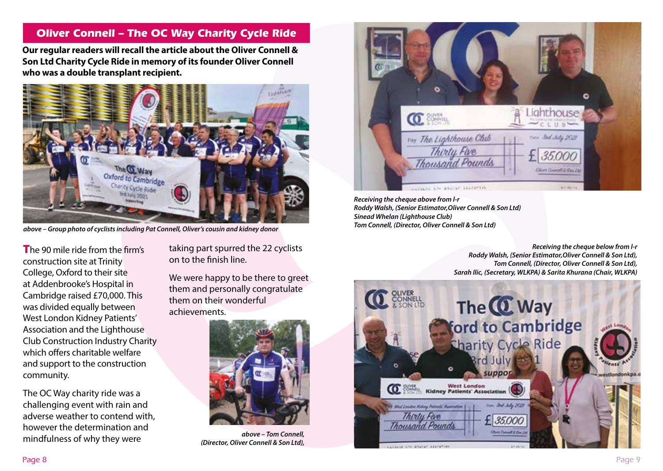#### **Oliver Connell – The OC Way Charity Cycle Ride**

**Our regular readers will recall the article about the Oliver Connell & Son Ltd Charity Cycle Ride in memory of its founder Oliver Connell who was a double transplant recipient.** 



*above – Group photo of cyclists including Pat Connell, Oliver's cousin and kidney donor*

The 90 mile ride from the firm's construction site at Trinity College, Oxford to their site at Addenbrooke's Hospital in Cambridge raised £70,000. This was divided equally between West London Kidney Patients' Association and the Lighthouse Club Construction Industry Charity which offers charitable welfare and support to the construction community.

The OC Way charity ride was a challenging event with rain and adverse weather to contend with, however the determination and mindfulness of why they were

taking part spurred the 22 cyclists on to the finish line.

We were happy to be there to greet them and personally congratulate them on their wonderful achievements.



*above – Tom Connell, (Director, Oliver Connell & Son Ltd),*



*Receiving the cheque above from l-r Roddy Walsh, (Senior Estimator,Oliver Connell & Son Ltd) Sinead Whelan (Lighthouse Club) Tom Connell, (Director, Oliver Connell & Son Ltd)*

> *Receiving the cheque below from l-r Roddy Walsh, (Senior Estimator,Oliver Connell & Son Ltd), Tom Connell, (Director, Oliver Connell & Son Ltd), Sarah Ilic, (Secretary, WLKPA) & Sarita Khurana (Chair, WLKPA)*

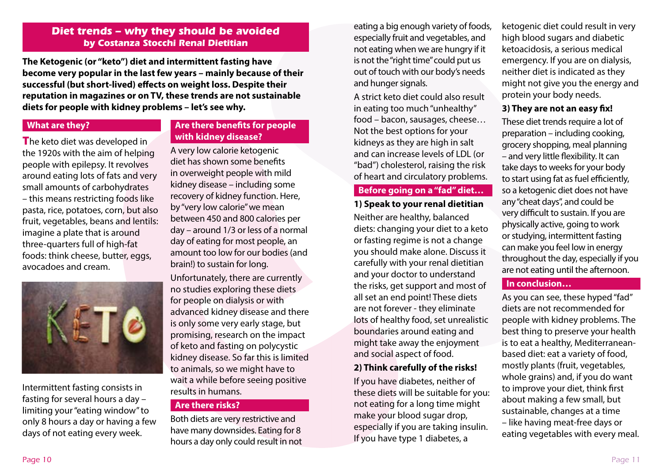#### **Diet trends – why they should be avoided by Costanza Stocchi Renal Dietitian**

**The Ketogenic (or "keto") diet and intermittent fasting have become very popular in the last few years – mainly because of their successful (but short-lived) effects on weight loss. Despite their reputation in magazines or on TV, these trends are not sustainable diets for people with kidney problems – let's see why.**

#### **What are they?**

The keto diet was developed in the 1920s with the aim of helping people with epilepsy. It revolves around eating lots of fats and very small amounts of carbohydrates – this means restricting foods like pasta, rice, potatoes, corn, but also fruit, vegetables, beans and lentils: imagine a plate that is around three-quarters full of high-fat foods: think cheese, butter, eggs, avocadoes and cream.



Intermittent fasting consists in fasting for several hours a day – limiting your "eating window" to only 8 hours a day or having a few days of not eating every week.

#### **Are there benefits for people with kidney disease?**

A very low calorie ketogenic diet has shown some benefits in overweight people with mild kidney disease – including some recovery of kidney function. Here, by "very low calorie" we mean between 450 and 800 calories per day – around 1/3 or less of a normal day of eating for most people, an amount too low for our bodies (and brain!) to sustain for long.

Unfortunately, there are currently no studies exploring these diets for people on dialysis or with advanced kidney disease and there is only some very early stage, but promising, research on the impact of keto and fasting on polycystic kidney disease. So far this is limited to animals, so we might have to wait a while before seeing positive results in humans.

#### **Are there risks?**

Both diets are very restrictive and have many downsides. Eating for 8 hours a day only could result in not eating a big enough variety of foods, especially fruit and vegetables, and not eating when we are hungry if it is not the "right time" could put us out of touch with our body's needs and hunger signals.

A strict keto diet could also result in eating too much "unhealthy" food – bacon, sausages, cheese… Not the best options for your kidneys as they are high in salt and can increase levels of LDL (or "bad") cholesterol, raising the risk of heart and circulatory problems.

#### **Before going on a "fad" diet…**

#### **1) Speak to your renal dietitian**

Neither are healthy, balanced diets: changing your diet to a keto or fasting regime is not a change you should make alone. Discuss it carefully with your renal dietitian and your doctor to understand the risks, get support and most of all set an end point! These diets are not forever - they eliminate lots of healthy food, set unrealistic boundaries around eating and might take away the enjoyment and social aspect of food.

#### **2) Think carefully of the risks!**

If you have diabetes, neither of these diets will be suitable for you: not eating for a long time might make your blood sugar drop, especially if you are taking insulin. If you have type 1 diabetes, a

ketogenic diet could result in very high blood sugars and diabetic ketoacidosis, a serious medical emergency. If you are on dialysis, neither diet is indicated as they might not give you the energy and protein your body needs.

#### **3) They are not an easy fix!**

These diet trends require a lot of preparation – including cooking, grocery shopping, meal planning – and very little flexibility. It can take days to weeks for your body to start using fat as fuel efficiently, so a ketogenic diet does not have any "cheat days", and could be very difficult to sustain. If you are physically active, going to work or studying, intermittent fasting can make you feel low in energy throughout the day, especially if you are not eating until the afternoon.

#### **In conclusion…**

As you can see, these hyped "fad" diets are not recommended for people with kidney problems. The best thing to preserve your health is to eat a healthy, Mediterraneanbased diet: eat a variety of food, mostly plants (fruit, vegetables, whole grains) and, if you do want to improve your diet, think first about making a few small, but sustainable, changes at a time – like having meat-free days or eating vegetables with every meal.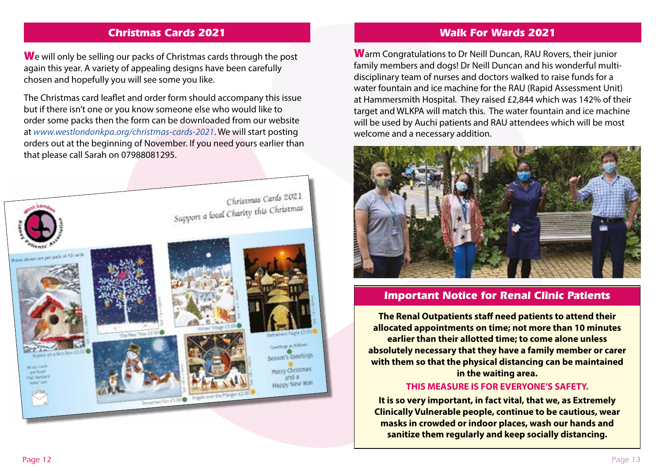#### **Christmas Cards 2021**

We will only be selling our packs of Christmas cards through the post again this year. A variety of appealing designs have been carefully chosen and hopefully you will see some you like.

The Christmas card leaflet and order form should accompany this issue but if there isn't one or you know someone else who would like to order some packs then the form can be downloaded from our website at *www.westlondonkpa.org/christmas-cards-2021*. We will start posting orders out at the beginning of November. If you need yours earlier than that please call Sarah on 07988081295.



#### **Walk For Wards 2021**

Warm Congratulations to Dr Neill Duncan, RAU Rovers, their junior family members and dogs! Dr Neill Duncan and his wonderful multidisciplinary team of nurses and doctors walked to raise funds for a water fountain and ice machine for the RAU (Rapid Assessment Unit) at Hammersmith Hospital. They raised £2,844 which was 142% of their target and WLKPA will match this. The water fountain and ice machine will be used by Auchi patients and RAU attendees which will be most welcome and a necessary addition.



#### **Important Notice for Renal Clinic Patients**

**The Renal Outpatients staff need patients to attend their allocated appointments on time; not more than 10 minutes earlier than their allotted time; to come alone unless absolutely necessary that they have a family member or carer with them so that the physical distancing can be maintained in the waiting area.**

#### **THIS MEASURE IS FOR EVERYONE'S SAFETY.**

**It is so very important, in fact vital, that we, as Extremely Clinically Vulnerable people, continue to be cautious, wear masks in crowded or indoor places, wash our hands and sanitize them regularly and keep socially distancing.**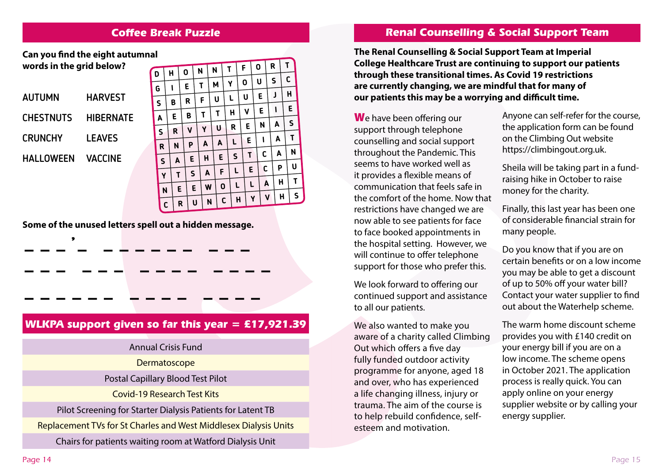#### **Coffee Break Puzzle**

**D**AUTUMN **CHESTNUTS** CRUNCHY **HARVEST HIBERNATE LEAVES Can you find the eight autumnal words in the grid below?**

VACCINE

HALLOWEEN

**– – –** 

**'**

|                    |              |   |   |   |              | N |              | N | T      |              |  | F |   |   | R |   | T |             |  |
|--------------------|--------------|---|---|---|--------------|---|--------------|---|--------|--------------|--|---|---|---|---|---|---|-------------|--|
| D                  |              | H |   | 0 |              |   |              |   |        |              |  |   | U |   | S |   | C |             |  |
| G                  |              |   | ١ |   | E            | T |              | M |        | Y            |  | 0 |   |   |   |   |   |             |  |
| $\mathsf{S}$       |              | B |   | R |              |   | F            |   | L<br>U |              |  | U |   | E |   | J | H |             |  |
|                    |              |   |   |   |              |   |              |   |        | H            |  | V |   | E |   | ١ |   | E           |  |
| $\pmb{\mathsf{A}}$ |              |   | E |   | B            | T |              | T |        |              |  |   |   |   |   | A |   | $\sf S$     |  |
|                    | $\mathsf{S}$ |   | R |   | V            | Y |              | U |        | R            |  | E |   | N |   |   |   |             |  |
|                    |              |   |   | P |              |   | A            |   | A      | L            |  | E |   | ı |   | A |   | $\mathbf T$ |  |
|                    | R            |   | N |   |              |   |              |   |        |              |  |   |   | С |   | A |   | N           |  |
|                    | $\mathsf{s}$ |   | A |   | E            |   | $\mathsf{H}$ |   | E      | $\mathsf{s}$ |  | T |   |   |   |   |   |             |  |
|                    |              |   | T |   | $\mathsf{s}$ |   | A            |   | F      | L<br>L       |  | E |   | C |   | P |   | U           |  |
|                    | Y            |   |   |   |              |   |              |   |        |              |  | L |   | A |   | H |   | T           |  |
| N                  |              |   | E |   | E            |   | W            |   | 0      |              |  |   |   |   |   |   |   |             |  |
|                    |              | C |   | R | U            |   | N            |   | C      | H            |  | Y |   | V |   | H |   | S           |  |
|                    |              |   |   |   |              |   |              |   |        |              |  |   |   |   |   |   |   |             |  |

**Some of the unused letters spell out a hidden message.**

**– – – – – – – – – – – – – –**

**– – – – – – – – – – – – – –**

#### **WLKPA support given so far this year = £17,921.39**

**– – – – – – – – – –** 

Annual Crisis Fund Dermatoscope Postal Capillary Blood Test Pilot Covid-19 Research Test Kits Pilot Screening for Starter Dialysis Patients for Latent TB Replacement TVs for St Charles and West Middlesex Dialysis Units

Chairs for patients waiting room at Watford Dialysis Unit

#### **Renal Counselling & Social Support Team**

**The Renal Counselling & Social Support Team at Imperial College Healthcare Trust are continuing to support our patients through these transitional times. As Covid 19 restrictions are currently changing, we are mindful that for many of our patients this may be a worrying and difficult time.** 

We have been offering our support through telephone counselling and social support throughout the Pandemic. This seems to have worked well as it provides a flexible means of communication that feels safe in the comfort of the home. Now that restrictions have changed we are now able to see patients for face to face booked appointments in the hospital setting. However, we will continue to offer telephone support for those who prefer this.

We look forward to offering our continued support and assistance to all our patients.

We also wanted to make you aware of a charity called Climbing Out which offers a five day fully funded outdoor activity programme for anyone, aged 18 and over, who has experienced a life changing illness, injury or trauma. The aim of the course is to help rebuild confidence, selfesteem and motivation.

Anyone can self-refer for the course, the application form can be found on the Climbing Out website https://climbingout.org.uk.

Sheila will be taking part in a fundraising hike in October to raise money for the charity.

Finally, this last year has been one of considerable financial strain for many people.

Do you know that if you are on certain benefits or on a low income you may be able to get a discount of up to 50% off your water bill? Contact your water supplier to find out about the Waterhelp scheme.

The warm home discount scheme provides you with £140 credit on your energy bill if you are on a low income. The scheme opens in October 2021. The application process is really quick. You can apply online on your energy supplier website or by calling your energy supplier.